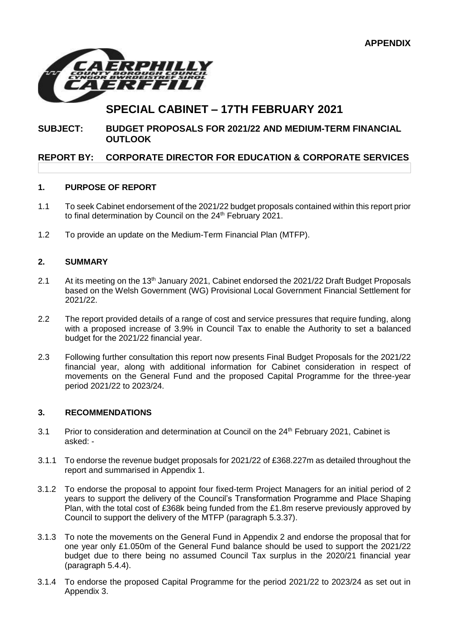**APPENDIX**



# **SPECIAL CABINET – 17TH FEBRUARY 2021**

# **SUBJECT: BUDGET PROPOSALS FOR 2021/22 AND MEDIUM-TERM FINANCIAL OUTLOOK**

# **REPORT BY: CORPORATE DIRECTOR FOR EDUCATION & CORPORATE SERVICES**

### **1. PURPOSE OF REPORT**

- 1.1 To seek Cabinet endorsement of the 2021/22 budget proposals contained within this report prior to final determination by Council on the 24<sup>th</sup> February 2021.
- 1.2 To provide an update on the Medium-Term Financial Plan (MTFP).

### **2. SUMMARY**

- 2.1 At its meeting on the 13<sup>th</sup> January 2021, Cabinet endorsed the 2021/22 Draft Budget Proposals based on the Welsh Government (WG) Provisional Local Government Financial Settlement for 2021/22.
- 2.2 The report provided details of a range of cost and service pressures that require funding, along with a proposed increase of 3.9% in Council Tax to enable the Authority to set a balanced budget for the 2021/22 financial year.
- 2.3 Following further consultation this report now presents Final Budget Proposals for the 2021/22 financial year, along with additional information for Cabinet consideration in respect of movements on the General Fund and the proposed Capital Programme for the three-year period 2021/22 to 2023/24.

#### **3. RECOMMENDATIONS**

- 3.1 Prior to consideration and determination at Council on the 24<sup>th</sup> February 2021, Cabinet is asked: -
- 3.1.1 To endorse the revenue budget proposals for 2021/22 of £368.227m as detailed throughout the report and summarised in Appendix 1.
- 3.1.2 To endorse the proposal to appoint four fixed-term Project Managers for an initial period of 2 years to support the delivery of the Council's Transformation Programme and Place Shaping Plan, with the total cost of £368k being funded from the £1.8m reserve previously approved by Council to support the delivery of the MTFP (paragraph 5.3.37).
- 3.1.3 To note the movements on the General Fund in Appendix 2 and endorse the proposal that for one year only £1.050m of the General Fund balance should be used to support the 2021/22 budget due to there being no assumed Council Tax surplus in the 2020/21 financial year (paragraph 5.4.4).
- 3.1.4 To endorse the proposed Capital Programme for the period 2021/22 to 2023/24 as set out in Appendix 3.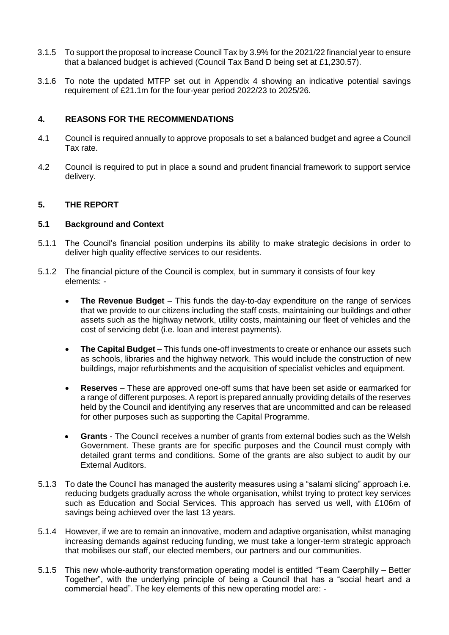- 3.1.5 To support the proposal to increase Council Tax by 3.9% for the 2021/22 financial year to ensure that a balanced budget is achieved (Council Tax Band D being set at £1,230.57).
- 3.1.6 To note the updated MTFP set out in Appendix 4 showing an indicative potential savings requirement of £21.1m for the four-year period 2022/23 to 2025/26.

#### **4. REASONS FOR THE RECOMMENDATIONS**

- 4.1 Council is required annually to approve proposals to set a balanced budget and agree a Council Tax rate.
- 4.2 Council is required to put in place a sound and prudent financial framework to support service delivery.

#### **5. THE REPORT**

#### **5.1 Background and Context**

- 5.1.1 The Council's financial position underpins its ability to make strategic decisions in order to deliver high quality effective services to our residents.
- 5.1.2 The financial picture of the Council is complex, but in summary it consists of four key elements: -
	- **The Revenue Budget** This funds the day-to-day expenditure on the range of services that we provide to our citizens including the staff costs, maintaining our buildings and other assets such as the highway network, utility costs, maintaining our fleet of vehicles and the cost of servicing debt (i.e. loan and interest payments).
	- **The Capital Budget** This funds one-off investments to create or enhance our assets such as schools, libraries and the highway network. This would include the construction of new buildings, major refurbishments and the acquisition of specialist vehicles and equipment.
	- **Reserves** These are approved one-off sums that have been set aside or earmarked for a range of different purposes. A report is prepared annually providing details of the reserves held by the Council and identifying any reserves that are uncommitted and can be released for other purposes such as supporting the Capital Programme.
	- **Grants** The Council receives a number of grants from external bodies such as the Welsh Government. These grants are for specific purposes and the Council must comply with detailed grant terms and conditions. Some of the grants are also subject to audit by our External Auditors.
- 5.1.3 To date the Council has managed the austerity measures using a "salami slicing" approach i.e. reducing budgets gradually across the whole organisation, whilst trying to protect key services such as Education and Social Services. This approach has served us well, with £106m of savings being achieved over the last 13 years.
- 5.1.4 However, if we are to remain an innovative, modern and adaptive organisation, whilst managing increasing demands against reducing funding, we must take a longer-term strategic approach that mobilises our staff, our elected members, our partners and our communities.
- 5.1.5 This new whole-authority transformation operating model is entitled "Team Caerphilly Better Together", with the underlying principle of being a Council that has a "social heart and a commercial head". The key elements of this new operating model are: -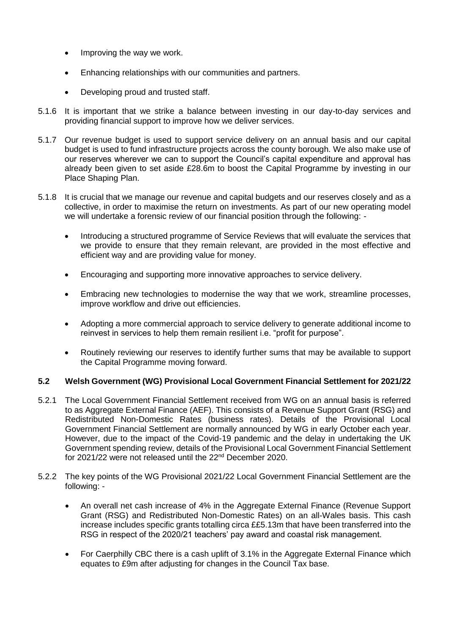- Improving the way we work.
- Enhancing relationships with our communities and partners.
- Developing proud and trusted staff.
- 5.1.6 It is important that we strike a balance between investing in our day-to-day services and providing financial support to improve how we deliver services.
- 5.1.7 Our revenue budget is used to support service delivery on an annual basis and our capital budget is used to fund infrastructure projects across the county borough. We also make use of our reserves wherever we can to support the Council's capital expenditure and approval has already been given to set aside £28.6m to boost the Capital Programme by investing in our Place Shaping Plan.
- 5.1.8 It is crucial that we manage our revenue and capital budgets and our reserves closely and as a collective, in order to maximise the return on investments. As part of our new operating model we will undertake a forensic review of our financial position through the following: -
	- Introducing a structured programme of Service Reviews that will evaluate the services that we provide to ensure that they remain relevant, are provided in the most effective and efficient way and are providing value for money.
	- Encouraging and supporting more innovative approaches to service delivery.
	- Embracing new technologies to modernise the way that we work, streamline processes, improve workflow and drive out efficiencies.
	- Adopting a more commercial approach to service delivery to generate additional income to reinvest in services to help them remain resilient i.e. "profit for purpose".
	- Routinely reviewing our reserves to identify further sums that may be available to support the Capital Programme moving forward.

### **5.2 Welsh Government (WG) Provisional Local Government Financial Settlement for 2021/22**

- 5.2.1 The Local Government Financial Settlement received from WG on an annual basis is referred to as Aggregate External Finance (AEF). This consists of a Revenue Support Grant (RSG) and Redistributed Non-Domestic Rates (business rates). Details of the Provisional Local Government Financial Settlement are normally announced by WG in early October each year. However, due to the impact of the Covid-19 pandemic and the delay in undertaking the UK Government spending review, details of the Provisional Local Government Financial Settlement for 2021/22 were not released until the 22<sup>nd</sup> December 2020.
- 5.2.2 The key points of the WG Provisional 2021/22 Local Government Financial Settlement are the following: -
	- An overall net cash increase of 4% in the Aggregate External Finance (Revenue Support Grant (RSG) and Redistributed Non-Domestic Rates) on an all-Wales basis. This cash increase includes specific grants totalling circa  $EES.13m$  that have been transferred into the RSG in respect of the 2020/21 teachers' pay award and coastal risk management.
	- For Caerphilly CBC there is a cash uplift of 3.1% in the Aggregate External Finance which equates to £9m after adjusting for changes in the Council Tax base.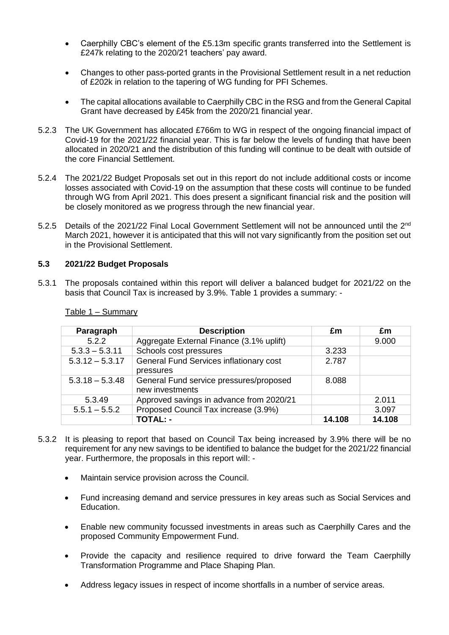- Caerphilly CBC's element of the £5.13m specific grants transferred into the Settlement is £247k relating to the 2020/21 teachers' pay award.
- Changes to other pass-ported grants in the Provisional Settlement result in a net reduction of £202k in relation to the tapering of WG funding for PFI Schemes.
- The capital allocations available to Caerphilly CBC in the RSG and from the General Capital Grant have decreased by £45k from the 2020/21 financial year.
- 5.2.3 The UK Government has allocated £766m to WG in respect of the ongoing financial impact of Covid-19 for the 2021/22 financial year. This is far below the levels of funding that have been allocated in 2020/21 and the distribution of this funding will continue to be dealt with outside of the core Financial Settlement.
- 5.2.4 The 2021/22 Budget Proposals set out in this report do not include additional costs or income losses associated with Covid-19 on the assumption that these costs will continue to be funded through WG from April 2021. This does present a significant financial risk and the position will be closely monitored as we progress through the new financial year.
- 5.2.5 Details of the 2021/22 Final Local Government Settlement will not be announced until the 2<sup>nd</sup> March 2021, however it is anticipated that this will not vary significantly from the position set out in the Provisional Settlement.

### **5.3 2021/22 Budget Proposals**

5.3.1 The proposals contained within this report will deliver a balanced budget for 2021/22 on the basis that Council Tax is increased by 3.9%. Table 1 provides a summary: -

| Paragraph         | <b>Description</b>                                         | £m     | £m     |
|-------------------|------------------------------------------------------------|--------|--------|
| 5.2.2             | Aggregate External Finance (3.1% uplift)                   |        | 9.000  |
| $5.3.3 - 5.3.11$  | Schools cost pressures                                     | 3.233  |        |
| $5.3.12 - 5.3.17$ | General Fund Services inflationary cost<br>pressures       | 2.787  |        |
| $5.3.18 - 5.3.48$ | General Fund service pressures/proposed<br>new investments | 8.088  |        |
| 5.3.49            | Approved savings in advance from 2020/21                   |        | 2.011  |
| $5.5.1 - 5.5.2$   | Proposed Council Tax increase (3.9%)                       |        | 3.097  |
|                   | <b>TOTAL: -</b>                                            | 14.108 | 14.108 |

Table 1 – Summary

- 5.3.2 It is pleasing to report that based on Council Tax being increased by 3.9% there will be no requirement for any new savings to be identified to balance the budget for the 2021/22 financial year. Furthermore, the proposals in this report will: -
	- Maintain service provision across the Council.
	- Fund increasing demand and service pressures in key areas such as Social Services and Education.
	- Enable new community focussed investments in areas such as Caerphilly Cares and the proposed Community Empowerment Fund.
	- Provide the capacity and resilience required to drive forward the Team Caerphilly Transformation Programme and Place Shaping Plan.
	- Address legacy issues in respect of income shortfalls in a number of service areas.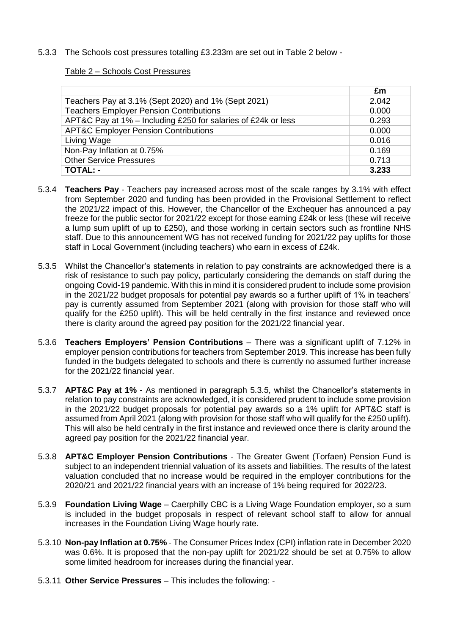5.3.3 The Schools cost pressures totalling £3.233m are set out in Table 2 below -

### Table 2 – Schools Cost Pressures

|                                                               | £m    |
|---------------------------------------------------------------|-------|
| Teachers Pay at 3.1% (Sept 2020) and 1% (Sept 2021)           | 2.042 |
| <b>Teachers Employer Pension Contributions</b>                | 0.000 |
| APT&C Pay at 1% – Including £250 for salaries of £24k or less | 0.293 |
| <b>APT&amp;C Employer Pension Contributions</b>               | 0.000 |
| Living Wage                                                   | 0.016 |
| Non-Pay Inflation at 0.75%                                    | 0.169 |
| <b>Other Service Pressures</b>                                | 0.713 |
| <b>TOTAL: -</b>                                               | 3.233 |

- 5.3.4 **Teachers Pay** Teachers pay increased across most of the scale ranges by 3.1% with effect from September 2020 and funding has been provided in the Provisional Settlement to reflect the 2021/22 impact of this. However, the Chancellor of the Exchequer has announced a pay freeze for the public sector for 2021/22 except for those earning £24k or less (these will receive a lump sum uplift of up to £250), and those working in certain sectors such as frontline NHS staff. Due to this announcement WG has not received funding for 2021/22 pay uplifts for those staff in Local Government (including teachers) who earn in excess of £24k.
- 5.3.5 Whilst the Chancellor's statements in relation to pay constraints are acknowledged there is a risk of resistance to such pay policy, particularly considering the demands on staff during the ongoing Covid-19 pandemic. With this in mind it is considered prudent to include some provision in the 2021/22 budget proposals for potential pay awards so a further uplift of 1% in teachers' pay is currently assumed from September 2021 (along with provision for those staff who will qualify for the £250 uplift). This will be held centrally in the first instance and reviewed once there is clarity around the agreed pay position for the 2021/22 financial year.
- 5.3.6 **Teachers Employers' Pension Contributions** There was a significant uplift of 7.12% in employer pension contributions for teachers from September 2019. This increase has been fully funded in the budgets delegated to schools and there is currently no assumed further increase for the 2021/22 financial year.
- 5.3.7 **APT&C Pay at 1%** As mentioned in paragraph 5.3.5, whilst the Chancellor's statements in relation to pay constraints are acknowledged, it is considered prudent to include some provision in the 2021/22 budget proposals for potential pay awards so a 1% uplift for APT&C staff is assumed from April 2021 (along with provision for those staff who will qualify for the £250 uplift). This will also be held centrally in the first instance and reviewed once there is clarity around the agreed pay position for the 2021/22 financial year.
- 5.3.8 **APT&C Employer Pension Contributions** The Greater Gwent (Torfaen) Pension Fund is subject to an independent triennial valuation of its assets and liabilities. The results of the latest valuation concluded that no increase would be required in the employer contributions for the 2020/21 and 2021/22 financial years with an increase of 1% being required for 2022/23.
- 5.3.9 **Foundation Living Wage** Caerphilly CBC is a Living Wage Foundation employer, so a sum is included in the budget proposals in respect of relevant school staff to allow for annual increases in the Foundation Living Wage hourly rate.
- 5.3.10 **Non-pay Inflation at 0.75%** The Consumer Prices Index (CPI) inflation rate in December 2020 was 0.6%. It is proposed that the non-pay uplift for 2021/22 should be set at 0.75% to allow some limited headroom for increases during the financial year.
- 5.3.11 **Other Service Pressures** This includes the following: -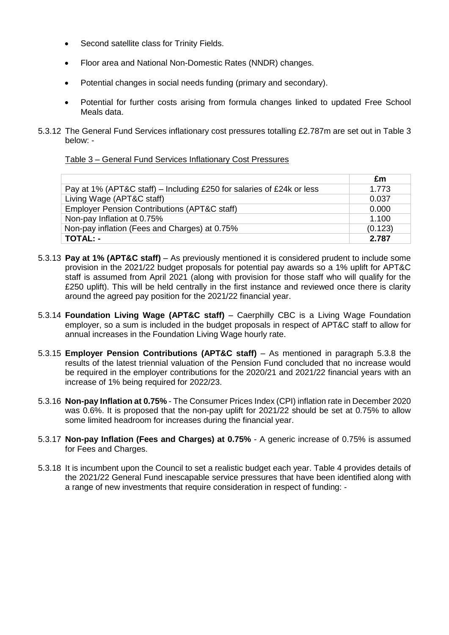- Second satellite class for Trinity Fields.
- Floor area and National Non-Domestic Rates (NNDR) changes.
- Potential changes in social needs funding (primary and secondary).
- Potential for further costs arising from formula changes linked to updated Free School Meals data.
- 5.3.12 The General Fund Services inflationary cost pressures totalling £2.787m are set out in Table 3 below: -

### Table 3 – General Fund Services Inflationary Cost Pressures

|                                                                       | £m      |
|-----------------------------------------------------------------------|---------|
| Pay at 1% (APT&C staff) – Including £250 for salaries of £24k or less | 1.773   |
| Living Wage (APT&C staff)                                             | 0.037   |
| <b>Employer Pension Contributions (APT&amp;C staff)</b>               | 0.000   |
| Non-pay Inflation at 0.75%                                            | 1.100   |
| Non-pay inflation (Fees and Charges) at 0.75%                         | (0.123) |
| TOTAL: -                                                              | 2.787   |

- 5.3.13 **Pay at 1% (APT&C staff)** As previously mentioned it is considered prudent to include some provision in the 2021/22 budget proposals for potential pay awards so a 1% uplift for APT&C staff is assumed from April 2021 (along with provision for those staff who will qualify for the £250 uplift). This will be held centrally in the first instance and reviewed once there is clarity around the agreed pay position for the 2021/22 financial year.
- 5.3.14 **Foundation Living Wage (APT&C staff)** Caerphilly CBC is a Living Wage Foundation employer, so a sum is included in the budget proposals in respect of APT&C staff to allow for annual increases in the Foundation Living Wage hourly rate.
- 5.3.15 **Employer Pension Contributions (APT&C staff)** As mentioned in paragraph 5.3.8 the results of the latest triennial valuation of the Pension Fund concluded that no increase would be required in the employer contributions for the 2020/21 and 2021/22 financial years with an increase of 1% being required for 2022/23.
- 5.3.16 **Non-pay Inflation at 0.75%** The Consumer Prices Index (CPI) inflation rate in December 2020 was 0.6%. It is proposed that the non-pay uplift for 2021/22 should be set at 0.75% to allow some limited headroom for increases during the financial year.
- 5.3.17 **Non-pay Inflation (Fees and Charges) at 0.75%** A generic increase of 0.75% is assumed for Fees and Charges.
- 5.3.18 It is incumbent upon the Council to set a realistic budget each year. Table 4 provides details of the 2021/22 General Fund inescapable service pressures that have been identified along with a range of new investments that require consideration in respect of funding: -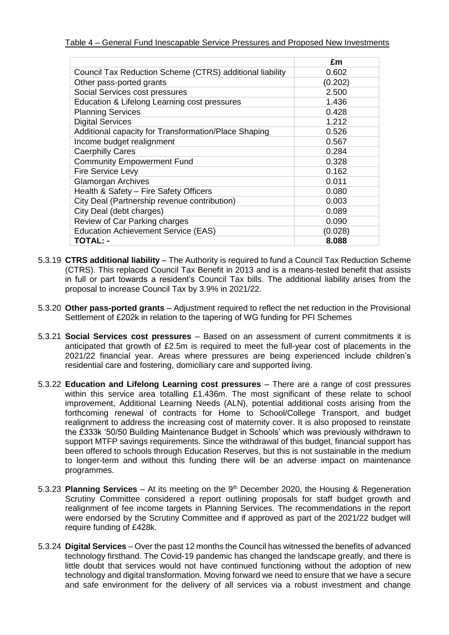Table 4 – General Fund Inescapable Service Pressures and Proposed New Investments

|                                                          | £m      |
|----------------------------------------------------------|---------|
| Council Tax Reduction Scheme (CTRS) additional liability | 0.602   |
| Other pass-ported grants                                 | (0.202) |
| Social Services cost pressures                           | 2.500   |
| Education & Lifelong Learning cost pressures             | 1.436   |
| <b>Planning Services</b>                                 | 0.428   |
| <b>Digital Services</b>                                  | 1.212   |
| Additional capacity for Transformation/Place Shaping     | 0.526   |
| Income budget realignment                                | 0.567   |
| <b>Caerphilly Cares</b>                                  | 0.284   |
| <b>Community Empowerment Fund</b>                        | 0.328   |
| Fire Service Levy                                        | 0.162   |
| <b>Glamorgan Archives</b>                                | 0.011   |
| Health & Safety - Fire Safety Officers                   | 0.080   |
| City Deal (Partnership revenue contribution)             | 0.003   |
| City Deal (debt charges)                                 | 0.089   |
| Review of Car Parking charges                            | 0.090   |
| <b>Education Achievement Service (EAS)</b>               | (0.028) |
| TOTAL: -                                                 | 8.088   |

- 5.3.19 **CTRS additional liability** The Authority is required to fund a Council Tax Reduction Scheme (CTRS). This replaced Council Tax Benefit in 2013 and is a means-tested benefit that assists in full or part towards a resident's Council Tax bills. The additional liability arises from the proposal to increase Council Tax by 3.9% in 2021/22.
- 5.3.20 **Other pass-ported grants** Adjustment required to reflect the net reduction in the Provisional Settlement of £202k in relation to the tapering of WG funding for PFI Schemes
- 5.3.21 **Social Services cost pressures** Based on an assessment of current commitments it is anticipated that growth of £2.5m is required to meet the full-year cost of placements in the 2021/22 financial year. Areas where pressures are being experienced include children's residential care and fostering, domiciliary care and supported living.
- 5.3.22 **Education and Lifelong Learning cost pressures** There are a range of cost pressures within this service area totalling £1.436m. The most significant of these relate to school improvement, Additional Learning Needs (ALN), potential additional costs arising from the forthcoming renewal of contracts for Home to School/College Transport, and budget realignment to address the increasing cost of maternity cover. It is also proposed to reinstate the £333k '50/50 Building Maintenance Budget in Schools' which was previously withdrawn to support MTFP savings requirements. Since the withdrawal of this budget, financial support has been offered to schools through Education Reserves, but this is not sustainable in the medium to longer-term and without this funding there will be an adverse impact on maintenance programmes.
- 5.3.23 **Planning Services** At its meeting on the 9th December 2020, the Housing & Regeneration Scrutiny Committee considered a report outlining proposals for staff budget growth and realignment of fee income targets in Planning Services. The recommendations in the report were endorsed by the Scrutiny Committee and if approved as part of the 2021/22 budget will require funding of £428k.
- 5.3.24 **Digital Services** Over the past 12 months the Council has witnessed the benefits of advanced technology firsthand. The Covid-19 pandemic has changed the landscape greatly, and there is little doubt that services would not have continued functioning without the adoption of new technology and digital transformation. Moving forward we need to ensure that we have a secure and safe environment for the delivery of all services via a robust investment and change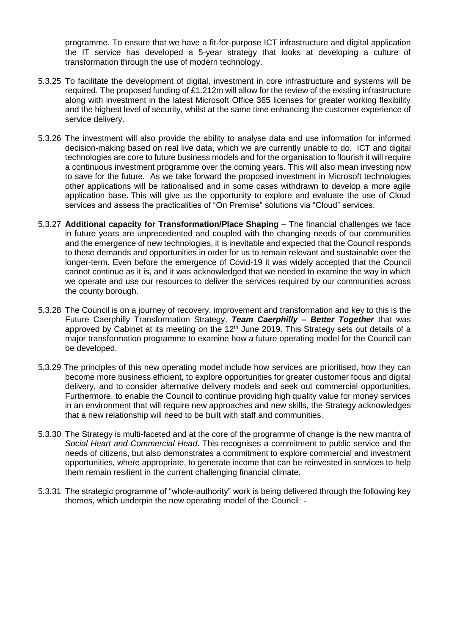programme. To ensure that we have a fit-for-purpose ICT infrastructure and digital application the IT service has developed a 5-year strategy that looks at developing a culture of transformation through the use of modern technology.

- 5.3.25 To facilitate the development of digital, investment in core infrastructure and systems will be required. The proposed funding of £1.212m will allow for the review of the existing infrastructure along with investment in the latest Microsoft Office 365 licenses for greater working flexibility and the highest level of security, whilst at the same time enhancing the customer experience of service delivery.
- 5.3.26 The investment will also provide the ability to analyse data and use information for informed decision-making based on real live data, which we are currently unable to do. ICT and digital technologies are core to future business models and for the organisation to flourish it will require a continuous investment programme over the coming years. This will also mean investing now to save for the future. As we take forward the proposed investment in Microsoft technologies other applications will be rationalised and in some cases withdrawn to develop a more agile application base. This will give us the opportunity to explore and evaluate the use of Cloud services and assess the practicalities of "On Premise" solutions via "Cloud" services.
- 5.3.27 **Additional capacity for Transformation/Place Shaping** The financial challenges we face in future years are unprecedented and coupled with the changing needs of our communities and the emergence of new technologies, it is inevitable and expected that the Council responds to these demands and opportunities in order for us to remain relevant and sustainable over the longer-term. Even before the emergence of Covid-19 it was widely accepted that the Council cannot continue as it is, and it was acknowledged that we needed to examine the way in which we operate and use our resources to deliver the services required by our communities across the county borough.
- 5.3.28 The Council is on a journey of recovery, improvement and transformation and key to this is the Future Caerphilly Transformation Strategy, *Team Caerphilly – Better Together* that was approved by Cabinet at its meeting on the 12<sup>th</sup> June 2019. This Strategy sets out details of a major transformation programme to examine how a future operating model for the Council can be developed.
- 5.3.29 The principles of this new operating model include how services are prioritised, how they can become more business efficient, to explore opportunities for greater customer focus and digital delivery, and to consider alternative delivery models and seek out commercial opportunities. Furthermore, to enable the Council to continue providing high quality value for money services in an environment that will require new approaches and new skills, the Strategy acknowledges that a new relationship will need to be built with staff and communities.
- 5.3.30 The Strategy is multi-faceted and at the core of the programme of change is the new mantra of *Social Heart and Commercial Head*. This recognises a commitment to public service and the needs of citizens, but also demonstrates a commitment to explore commercial and investment opportunities, where appropriate, to generate income that can be reinvested in services to help them remain resilient in the current challenging financial climate.
- 5.3.31 The strategic programme of "whole-authority" work is being delivered through the following key themes, which underpin the new operating model of the Council: -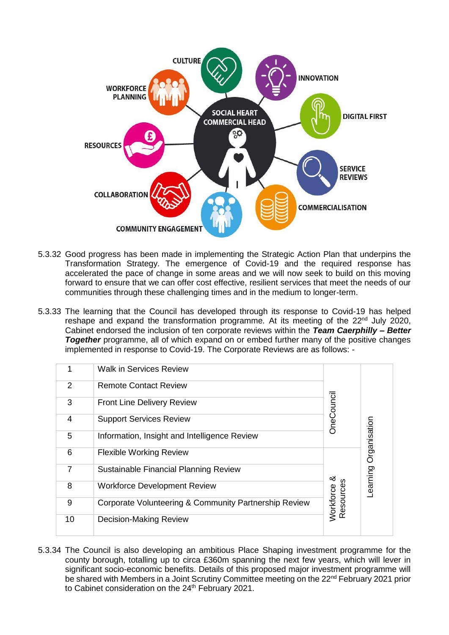

- 5.3.32 Good progress has been made in implementing the Strategic Action Plan that underpins the Transformation Strategy. The emergence of Covid-19 and the required response has accelerated the pace of change in some areas and we will now seek to build on this moving forward to ensure that we can offer cost effective, resilient services that meet the needs of our communities through these challenging times and in the medium to longer-term.
- 5.3.33 The learning that the Council has developed through its response to Covid-19 has helped reshape and expand the transformation programme. At its meeting of the 22<sup>nd</sup> July 2020, Cabinet endorsed the inclusion of ten corporate reviews within the *Team Caerphilly – Better*  **Together** programme, all of which expand on or embed further many of the positive changes implemented in response to Covid-19. The Corporate Reviews are as follows: -

|    | <b>Walk in Services Review</b>                        |                       |              |
|----|-------------------------------------------------------|-----------------------|--------------|
| 2  | <b>Remote Contact Review</b>                          |                       |              |
| 3  | <b>Front Line Delivery Review</b>                     | <b>OneCouncil</b>     |              |
| 4  | <b>Support Services Review</b>                        |                       |              |
| 5  | Information, Insight and Intelligence Review          |                       | Organisation |
| 6  | <b>Flexible Working Review</b>                        |                       |              |
| 7  | Sustainable Financial Planning Review                 | య                     |              |
| 8  | <b>Workforce Development Review</b>                   |                       | -earning     |
| 9  | Corporate Volunteering & Community Partnership Review | Resource<br>Workforce |              |
| 10 | <b>Decision-Making Review</b>                         |                       |              |

5.3.34 The Council is also developing an ambitious Place Shaping investment programme for the county borough, totalling up to circa £360m spanning the next few years, which will lever in significant socio-economic benefits. Details of this proposed major investment programme will be shared with Members in a Joint Scrutiny Committee meeting on the 22<sup>nd</sup> February 2021 prior to Cabinet consideration on the 24<sup>th</sup> February 2021.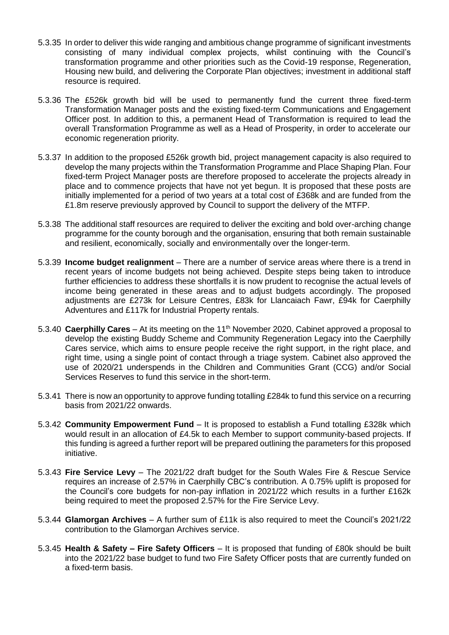- 5.3.35 In order to deliver this wide ranging and ambitious change programme of significant investments consisting of many individual complex projects, whilst continuing with the Council's transformation programme and other priorities such as the Covid-19 response, Regeneration, Housing new build, and delivering the Corporate Plan objectives; investment in additional staff resource is required.
- 5.3.36 The £526k growth bid will be used to permanently fund the current three fixed-term Transformation Manager posts and the existing fixed-term Communications and Engagement Officer post. In addition to this, a permanent Head of Transformation is required to lead the overall Transformation Programme as well as a Head of Prosperity, in order to accelerate our economic regeneration priority.
- 5.3.37 In addition to the proposed £526k growth bid, project management capacity is also required to develop the many projects within the Transformation Programme and Place Shaping Plan. Four fixed-term Project Manager posts are therefore proposed to accelerate the projects already in place and to commence projects that have not yet begun. It is proposed that these posts are initially implemented for a period of two years at a total cost of £368k and are funded from the £1.8m reserve previously approved by Council to support the delivery of the MTFP.
- 5.3.38 The additional staff resources are required to deliver the exciting and bold over-arching change programme for the county borough and the organisation, ensuring that both remain sustainable and resilient, economically, socially and environmentally over the longer-term.
- 5.3.39 **Income budget realignment** There are a number of service areas where there is a trend in recent years of income budgets not being achieved. Despite steps being taken to introduce further efficiencies to address these shortfalls it is now prudent to recognise the actual levels of income being generated in these areas and to adjust budgets accordingly. The proposed adjustments are £273k for Leisure Centres, £83k for Llancaiach Fawr, £94k for Caerphilly Adventures and £117k for Industrial Property rentals.
- 5.3.40 **Caerphilly Cares** At its meeting on the 11th November 2020, Cabinet approved a proposal to develop the existing Buddy Scheme and Community Regeneration Legacy into the Caerphilly Cares service, which aims to ensure people receive the right support, in the right place, and right time, using a single point of contact through a triage system. Cabinet also approved the use of 2020/21 underspends in the Children and Communities Grant (CCG) and/or Social Services Reserves to fund this service in the short-term.
- 5.3.41 There is now an opportunity to approve funding totalling £284k to fund this service on a recurring basis from 2021/22 onwards.
- 5.3.42 **Community Empowerment Fund** It is proposed to establish a Fund totalling £328k which would result in an allocation of £4.5k to each Member to support community-based projects. If this funding is agreed a further report will be prepared outlining the parameters for this proposed initiative.
- 5.3.43 **Fire Service Levy** The 2021/22 draft budget for the South Wales Fire & Rescue Service requires an increase of 2.57% in Caerphilly CBC's contribution. A 0.75% uplift is proposed for the Council's core budgets for non-pay inflation in 2021/22 which results in a further £162k being required to meet the proposed 2.57% for the Fire Service Levy.
- 5.3.44 **Glamorgan Archives** A further sum of £11k is also required to meet the Council's 2021/22 contribution to the Glamorgan Archives service.
- 5.3.45 **Health & Safety – Fire Safety Officers** It is proposed that funding of £80k should be built into the 2021/22 base budget to fund two Fire Safety Officer posts that are currently funded on a fixed-term basis.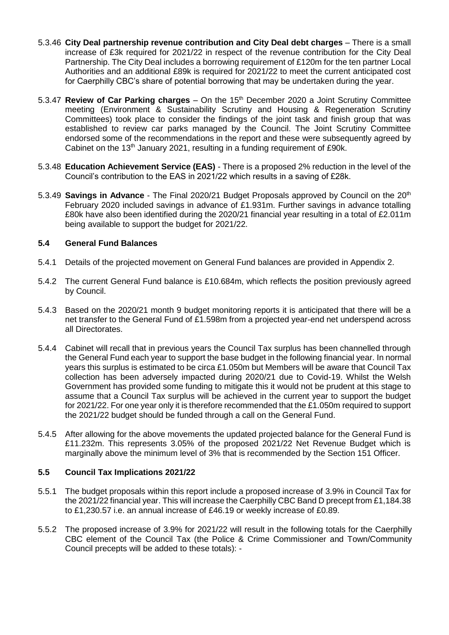- 5.3.46 **City Deal partnership revenue contribution and City Deal debt charges** There is a small increase of £3k required for 2021/22 in respect of the revenue contribution for the City Deal Partnership. The City Deal includes a borrowing requirement of £120m for the ten partner Local Authorities and an additional £89k is required for 2021/22 to meet the current anticipated cost for Caerphilly CBC's share of potential borrowing that may be undertaken during the year.
- 5.3.47 **Review of Car Parking charges** On the 15<sup>th</sup> December 2020 a Joint Scrutiny Committee meeting (Environment & Sustainability Scrutiny and Housing & Regeneration Scrutiny Committees) took place to consider the findings of the joint task and finish group that was established to review car parks managed by the Council. The Joint Scrutiny Committee endorsed some of the recommendations in the report and these were subsequently agreed by Cabinet on the 13<sup>th</sup> January 2021, resulting in a funding requirement of £90k.
- 5.3.48 **Education Achievement Service (EAS)** There is a proposed 2% reduction in the level of the Council's contribution to the EAS in 2021/22 which results in a saving of £28k.
- 5.3.49 **Savings in Advance** The Final 2020/21 Budget Proposals approved by Council on the 20<sup>th</sup> February 2020 included savings in advance of £1.931m. Further savings in advance totalling £80k have also been identified during the 2020/21 financial year resulting in a total of £2.011m being available to support the budget for 2021/22.

### **5.4 General Fund Balances**

- 5.4.1 Details of the projected movement on General Fund balances are provided in Appendix 2.
- 5.4.2 The current General Fund balance is £10.684m, which reflects the position previously agreed by Council.
- 5.4.3 Based on the 2020/21 month 9 budget monitoring reports it is anticipated that there will be a net transfer to the General Fund of £1.598m from a projected year-end net underspend across all Directorates.
- 5.4.4 Cabinet will recall that in previous years the Council Tax surplus has been channelled through the General Fund each year to support the base budget in the following financial year. In normal years this surplus is estimated to be circa £1.050m but Members will be aware that Council Tax collection has been adversely impacted during 2020/21 due to Covid-19. Whilst the Welsh Government has provided some funding to mitigate this it would not be prudent at this stage to assume that a Council Tax surplus will be achieved in the current year to support the budget for 2021/22. For one year only it is therefore recommended that the £1.050m required to support the 2021/22 budget should be funded through a call on the General Fund.
- 5.4.5 After allowing for the above movements the updated projected balance for the General Fund is £11.232m. This represents 3.05% of the proposed 2021/22 Net Revenue Budget which is marginally above the minimum level of 3% that is recommended by the Section 151 Officer.

### **5.5 Council Tax Implications 2021/22**

- 5.5.1 The budget proposals within this report include a proposed increase of 3.9% in Council Tax for the 2021/22 financial year. This will increase the Caerphilly CBC Band D precept from £1,184.38 to £1,230.57 i.e. an annual increase of £46.19 or weekly increase of £0.89.
- 5.5.2 The proposed increase of 3.9% for 2021/22 will result in the following totals for the Caerphilly CBC element of the Council Tax (the Police & Crime Commissioner and Town/Community Council precepts will be added to these totals): -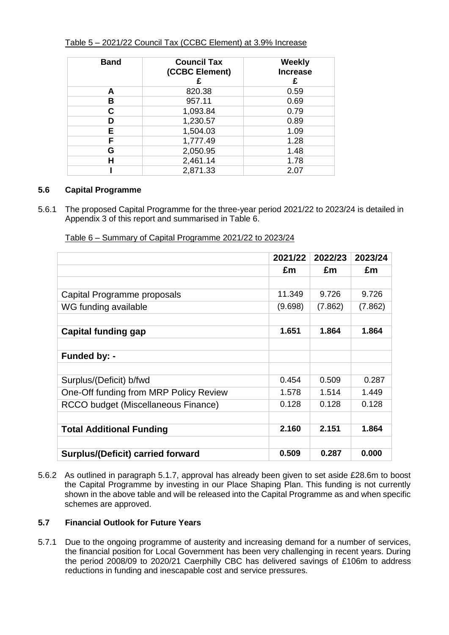### Table 5 – 2021/22 Council Tax (CCBC Element) at 3.9% Increase

| <b>Band</b> | <b>Council Tax</b><br>(CCBC Element) | <b>Weekly</b><br><b>Increase</b><br>£ |
|-------------|--------------------------------------|---------------------------------------|
| A           | 820.38                               | 0.59                                  |
| B           | 957.11                               | 0.69                                  |
| C.          | 1,093.84                             | 0.79                                  |
| D           | 1,230.57                             | 0.89                                  |
| E.          | 1,504.03                             | 1.09                                  |
| F           | 1,777.49                             | 1.28                                  |
| G           | 2,050.95                             | 1.48                                  |
| Н           | 2,461.14                             | 1.78                                  |
|             | 2,871.33                             | 2.07                                  |

### **5.6 Capital Programme**

5.6.1 The proposed Capital Programme for the three-year period 2021/22 to 2023/24 is detailed in Appendix 3 of this report and summarised in Table 6.

|  |  | Table 6 - Summary of Capital Programme 2021/22 to 2023/24 |
|--|--|-----------------------------------------------------------|
|--|--|-----------------------------------------------------------|

|                                          | 2021/22 | 2022/23 | 2023/24 |
|------------------------------------------|---------|---------|---------|
|                                          | £m      | £m      | £m      |
|                                          |         |         |         |
| Capital Programme proposals              | 11.349  | 9.726   | 9.726   |
| WG funding available                     | (9.698) | (7.862) | (7.862) |
|                                          |         |         |         |
| Capital funding gap                      | 1.651   | 1.864   | 1.864   |
|                                          |         |         |         |
| Funded by: -                             |         |         |         |
|                                          |         |         |         |
| Surplus/(Deficit) b/fwd                  | 0.454   | 0.509   | 0.287   |
| One-Off funding from MRP Policy Review   | 1.578   | 1.514   | 1.449   |
| RCCO budget (Miscellaneous Finance)      | 0.128   | 0.128   | 0.128   |
|                                          |         |         |         |
| <b>Total Additional Funding</b>          | 2.160   | 2.151   | 1.864   |
|                                          |         |         |         |
| <b>Surplus/(Deficit) carried forward</b> | 0.509   | 0.287   | 0.000   |

5.6.2 As outlined in paragraph 5.1.7, approval has already been given to set aside £28.6m to boost the Capital Programme by investing in our Place Shaping Plan. This funding is not currently shown in the above table and will be released into the Capital Programme as and when specific schemes are approved.

# **5.7 Financial Outlook for Future Years**

5.7.1 Due to the ongoing programme of austerity and increasing demand for a number of services, the financial position for Local Government has been very challenging in recent years. During the period 2008/09 to 2020/21 Caerphilly CBC has delivered savings of £106m to address reductions in funding and inescapable cost and service pressures.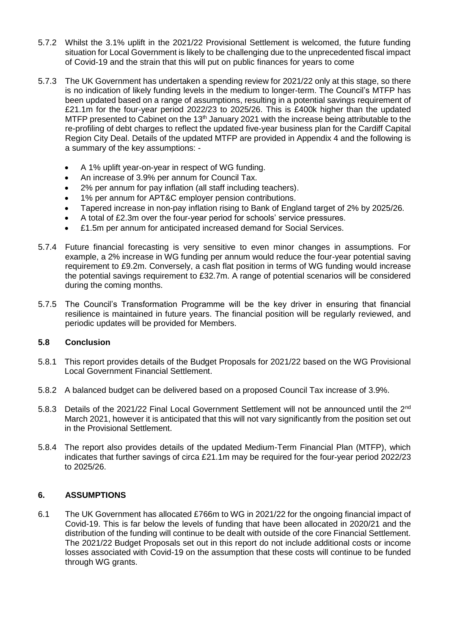- 5.7.2 Whilst the 3.1% uplift in the 2021/22 Provisional Settlement is welcomed, the future funding situation for Local Government is likely to be challenging due to the unprecedented fiscal impact of Covid-19 and the strain that this will put on public finances for years to come
- 5.7.3 The UK Government has undertaken a spending review for 2021/22 only at this stage, so there is no indication of likely funding levels in the medium to longer-term. The Council's MTFP has been updated based on a range of assumptions, resulting in a potential savings requirement of £21.1m for the four-year period 2022/23 to 2025/26. This is £400k higher than the updated MTFP presented to Cabinet on the 13<sup>th</sup> January 2021 with the increase being attributable to the re-profiling of debt charges to reflect the updated five-year business plan for the Cardiff Capital Region City Deal. Details of the updated MTFP are provided in Appendix 4 and the following is a summary of the key assumptions: -
	- A 1% uplift year-on-year in respect of WG funding.
	- An increase of 3.9% per annum for Council Tax.
	- 2% per annum for pay inflation (all staff including teachers).
	- 1% per annum for APT&C employer pension contributions.
	- Tapered increase in non-pay inflation rising to Bank of England target of 2% by 2025/26.
	- A total of £2.3m over the four-year period for schools' service pressures.
	- £1.5m per annum for anticipated increased demand for Social Services.
- 5.7.4 Future financial forecasting is very sensitive to even minor changes in assumptions. For example, a 2% increase in WG funding per annum would reduce the four-year potential saving requirement to £9.2m. Conversely, a cash flat position in terms of WG funding would increase the potential savings requirement to £32.7m. A range of potential scenarios will be considered during the coming months.
- 5.7.5 The Council's Transformation Programme will be the key driver in ensuring that financial resilience is maintained in future years. The financial position will be regularly reviewed, and periodic updates will be provided for Members.

### **5.8 Conclusion**

- 5.8.1 This report provides details of the Budget Proposals for 2021/22 based on the WG Provisional Local Government Financial Settlement.
- 5.8.2 A balanced budget can be delivered based on a proposed Council Tax increase of 3.9%.
- 5.8.3 Details of the 2021/22 Final Local Government Settlement will not be announced until the 2<sup>nd</sup> March 2021, however it is anticipated that this will not vary significantly from the position set out in the Provisional Settlement.
- 5.8.4 The report also provides details of the updated Medium-Term Financial Plan (MTFP), which indicates that further savings of circa £21.1m may be required for the four-year period 2022/23 to 2025/26.

### **6. ASSUMPTIONS**

6.1 The UK Government has allocated £766m to WG in 2021/22 for the ongoing financial impact of Covid-19. This is far below the levels of funding that have been allocated in 2020/21 and the distribution of the funding will continue to be dealt with outside of the core Financial Settlement. The 2021/22 Budget Proposals set out in this report do not include additional costs or income losses associated with Covid-19 on the assumption that these costs will continue to be funded through WG grants.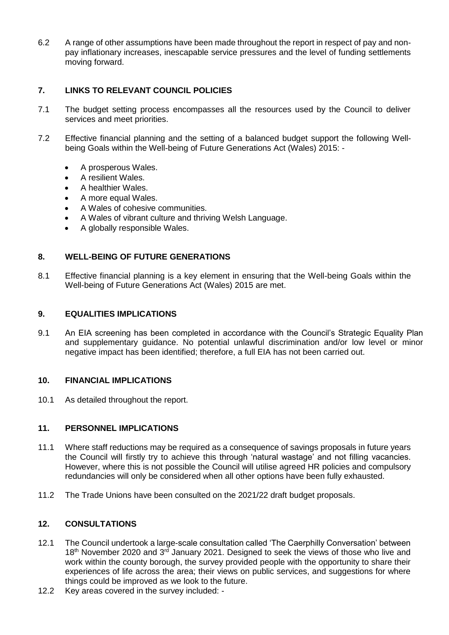6.2 A range of other assumptions have been made throughout the report in respect of pay and nonpay inflationary increases, inescapable service pressures and the level of funding settlements moving forward.

## **7. LINKS TO RELEVANT COUNCIL POLICIES**

- 7.1 The budget setting process encompasses all the resources used by the Council to deliver services and meet priorities.
- 7.2 Effective financial planning and the setting of a balanced budget support the following Wellbeing Goals within the Well-being of Future Generations Act (Wales) 2015: -
	- A prosperous Wales.
	- A resilient Wales.
	- A healthier Wales.
	- A more equal Wales.
	- A Wales of cohesive communities.
	- A Wales of vibrant culture and thriving Welsh Language.
	- A globally responsible Wales.

### **8. WELL-BEING OF FUTURE GENERATIONS**

8.1 Effective financial planning is a key element in ensuring that the Well-being Goals within the Well-being of Future Generations Act (Wales) 2015 are met.

#### **9. EQUALITIES IMPLICATIONS**

9.1 An EIA screening has been completed in accordance with the Council's Strategic Equality Plan and supplementary guidance. No potential unlawful discrimination and/or low level or minor negative impact has been identified; therefore, a full EIA has not been carried out.

#### **10. FINANCIAL IMPLICATIONS**

10.1 As detailed throughout the report.

#### **11. PERSONNEL IMPLICATIONS**

- 11.1 Where staff reductions may be required as a consequence of savings proposals in future years the Council will firstly try to achieve this through 'natural wastage' and not filling vacancies. However, where this is not possible the Council will utilise agreed HR policies and compulsory redundancies will only be considered when all other options have been fully exhausted.
- 11.2 The Trade Unions have been consulted on the 2021/22 draft budget proposals.

### **12. CONSULTATIONS**

- 12.1 The Council undertook a large-scale consultation called 'The Caerphilly Conversation' between  $18<sup>th</sup>$  November 2020 and  $3<sup>rd</sup>$  January 2021. Designed to seek the views of those who live and work within the county borough, the survey provided people with the opportunity to share their experiences of life across the area; their views on public services, and suggestions for where things could be improved as we look to the future.
- 12.2 Key areas covered in the survey included: -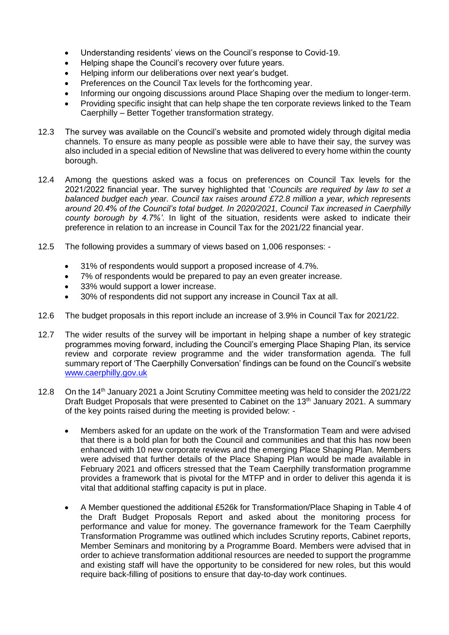- Understanding residents' views on the Council's response to Covid-19.
- Helping shape the Council's recovery over future years.
- Helping inform our deliberations over next year's budget.
- Preferences on the Council Tax levels for the forthcoming year.
- Informing our ongoing discussions around Place Shaping over the medium to longer-term.
- Providing specific insight that can help shape the ten corporate reviews linked to the Team Caerphilly – Better Together transformation strategy.
- 12.3 The survey was available on the Council's website and promoted widely through digital media channels. To ensure as many people as possible were able to have their say, the survey was also included in a special edition of Newsline that was delivered to every home within the county borough.
- 12.4 Among the questions asked was a focus on preferences on Council Tax levels for the 2021/2022 financial year. The survey highlighted that '*Councils are required by law to set a balanced budget each year. Council tax raises around £72.8 million a year, which represents around 20.4% of the Council's total budget. In 2020/2021, Council Tax increased in Caerphilly county borough by 4.7%'*. In light of the situation, residents were asked to indicate their preference in relation to an increase in Council Tax for the 2021/22 financial year.
- 12.5 The following provides a summary of views based on 1,006 responses:
	- 31% of respondents would support a proposed increase of 4.7%.
	- 7% of respondents would be prepared to pay an even greater increase.
	- 33% would support a lower increase.
	- 30% of respondents did not support any increase in Council Tax at all.
- 12.6 The budget proposals in this report include an increase of 3.9% in Council Tax for 2021/22.
- 12.7 The wider results of the survey will be important in helping shape a number of key strategic programmes moving forward, including the Council's emerging Place Shaping Plan, its service review and corporate review programme and the wider transformation agenda. The full summary report of 'The Caerphilly Conversation' findings can be found on the Council's website [www.caerphilly.gov.uk](http://www.caerphilly.gov.uk/)
- 12.8 On the 14<sup>th</sup> January 2021 a Joint Scrutiny Committee meeting was held to consider the 2021/22 Draft Budget Proposals that were presented to Cabinet on the 13<sup>th</sup> January 2021. A summary of the key points raised during the meeting is provided below: -
	- Members asked for an update on the work of the Transformation Team and were advised that there is a bold plan for both the Council and communities and that this has now been enhanced with 10 new corporate reviews and the emerging Place Shaping Plan. Members were advised that further details of the Place Shaping Plan would be made available in February 2021 and officers stressed that the Team Caerphilly transformation programme provides a framework that is pivotal for the MTFP and in order to deliver this agenda it is vital that additional staffing capacity is put in place.
	- A Member questioned the additional £526k for Transformation/Place Shaping in Table 4 of the Draft Budget Proposals Report and asked about the monitoring process for performance and value for money. The governance framework for the Team Caerphilly Transformation Programme was outlined which includes Scrutiny reports, Cabinet reports, Member Seminars and monitoring by a Programme Board. Members were advised that in order to achieve transformation additional resources are needed to support the programme and existing staff will have the opportunity to be considered for new roles, but this would require back-filling of positions to ensure that day-to-day work continues.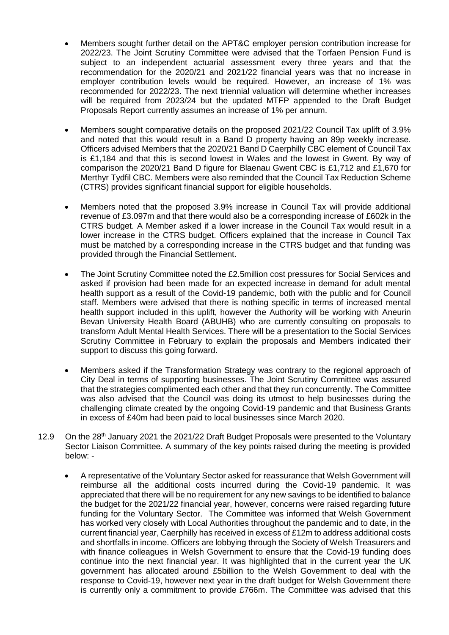- Members sought further detail on the APT&C employer pension contribution increase for 2022/23. The Joint Scrutiny Committee were advised that the Torfaen Pension Fund is subject to an independent actuarial assessment every three years and that the recommendation for the 2020/21 and 2021/22 financial years was that no increase in employer contribution levels would be required. However, an increase of 1% was recommended for 2022/23. The next triennial valuation will determine whether increases will be required from 2023/24 but the updated MTFP appended to the Draft Budget Proposals Report currently assumes an increase of 1% per annum.
- Members sought comparative details on the proposed 2021/22 Council Tax uplift of 3.9% and noted that this would result in a Band D property having an 89p weekly increase. Officers advised Members that the 2020/21 Band D Caerphilly CBC element of Council Tax is £1,184 and that this is second lowest in Wales and the lowest in Gwent. By way of comparison the 2020/21 Band D figure for Blaenau Gwent CBC is £1,712 and £1,670 for Merthyr Tydfil CBC. Members were also reminded that the Council Tax Reduction Scheme (CTRS) provides significant financial support for eligible households.
- Members noted that the proposed 3.9% increase in Council Tax will provide additional revenue of £3.097m and that there would also be a corresponding increase of £602k in the CTRS budget. A Member asked if a lower increase in the Council Tax would result in a lower increase in the CTRS budget. Officers explained that the increase in Council Tax must be matched by a corresponding increase in the CTRS budget and that funding was provided through the Financial Settlement.
- The Joint Scrutiny Committee noted the £2.5million cost pressures for Social Services and asked if provision had been made for an expected increase in demand for adult mental health support as a result of the Covid-19 pandemic, both with the public and for Council staff. Members were advised that there is nothing specific in terms of increased mental health support included in this uplift, however the Authority will be working with Aneurin Bevan University Health Board (ABUHB) who are currently consulting on proposals to transform Adult Mental Health Services. There will be a presentation to the Social Services Scrutiny Committee in February to explain the proposals and Members indicated their support to discuss this going forward.
- Members asked if the Transformation Strategy was contrary to the regional approach of City Deal in terms of supporting businesses. The Joint Scrutiny Committee was assured that the strategies complimented each other and that they run concurrently. The Committee was also advised that the Council was doing its utmost to help businesses during the challenging climate created by the ongoing Covid-19 pandemic and that Business Grants in excess of £40m had been paid to local businesses since March 2020.
- 12.9 On the 28<sup>th</sup> January 2021 the 2021/22 Draft Budget Proposals were presented to the Voluntary Sector Liaison Committee. A summary of the key points raised during the meeting is provided below: -
	- A representative of the Voluntary Sector asked for reassurance that Welsh Government will reimburse all the additional costs incurred during the Covid-19 pandemic. It was appreciated that there will be no requirement for any new savings to be identified to balance the budget for the 2021/22 financial year, however, concerns were raised regarding future funding for the Voluntary Sector. The Committee was informed that Welsh Government has worked very closely with Local Authorities throughout the pandemic and to date, in the current financial year, Caerphilly has received in excess of £12m to address additional costs and shortfalls in income. Officers are lobbying through the Society of Welsh Treasurers and with finance colleagues in Welsh Government to ensure that the Covid-19 funding does continue into the next financial year. It was highlighted that in the current year the UK government has allocated around £5billion to the Welsh Government to deal with the response to Covid-19, however next year in the draft budget for Welsh Government there is currently only a commitment to provide £766m. The Committee was advised that this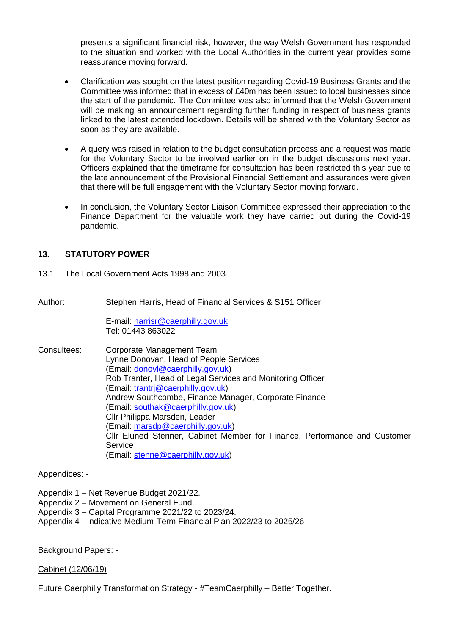presents a significant financial risk, however, the way Welsh Government has responded to the situation and worked with the Local Authorities in the current year provides some reassurance moving forward.

- Clarification was sought on the latest position regarding Covid-19 Business Grants and the Committee was informed that in excess of £40m has been issued to local businesses since the start of the pandemic. The Committee was also informed that the Welsh Government will be making an announcement regarding further funding in respect of business grants linked to the latest extended lockdown. Details will be shared with the Voluntary Sector as soon as they are available.
- A query was raised in relation to the budget consultation process and a request was made for the Voluntary Sector to be involved earlier on in the budget discussions next year. Officers explained that the timeframe for consultation has been restricted this year due to the late announcement of the Provisional Financial Settlement and assurances were given that there will be full engagement with the Voluntary Sector moving forward.
- In conclusion, the Voluntary Sector Liaison Committee expressed their appreciation to the Finance Department for the valuable work they have carried out during the Covid-19 pandemic.

### **13. STATUTORY POWER**

13.1 The Local Government Acts 1998 and 2003.

Author: Stephen Harris, Head of Financial Services & S151 Officer

E-mail: [harrisr@caerphilly.gov.uk](mailto:harrisr@caerphilly.gov.uk) Tel: 01443 863022

Consultees: Corporate Management Team Lynne Donovan, Head of People Services (Email: [donovl@caerphilly.gov.uk\)](mailto:donovl@caerphilly.gov.uk) Rob Tranter, Head of Legal Services and Monitoring Officer (Email: [trantrj@caerphilly.gov.uk\)](mailto:trantrj@caerphilly.gov.uk) Andrew Southcombe, Finance Manager, Corporate Finance (Email: [southak@caerphilly.gov.uk\)](mailto:southak@caerphilly.gov.uk) Cllr Philippa Marsden, Leader (Email: [marsdp@caerphilly.gov.uk\)](mailto:marsdp@caerphilly.gov.uk) Cllr Eluned Stenner, Cabinet Member for Finance, Performance and Customer Service (Email: [stenne@caerphilly.gov.uk\)](mailto:stenne@caerphilly.gov.uk)

Appendices: -

- Appendix 1 Net Revenue Budget 2021/22.
- Appendix 2 Movement on General Fund.
- Appendix 3 Capital Programme 2021/22 to 2023/24.
- Appendix 4 Indicative Medium-Term Financial Plan 2022/23 to 2025/26

Background Papers: -

#### Cabinet (12/06/19)

Future Caerphilly Transformation Strategy - #TeamCaerphilly – Better Together.